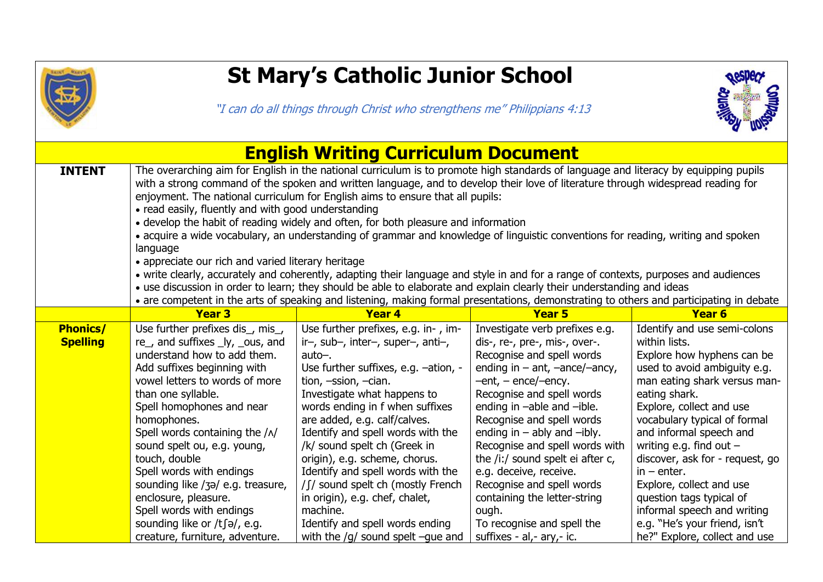

## **St Mary's Catholic Junior School**

"I can do all things through Christ who strengthens me" Philippians 4:13



|                                    | <b>English Writing Curriculum Document</b>                                                                                                                                                                                                                                                                                                                                                                                                                                                                                                                                                                                                                                                                                                                                                                                                                                                                                                                                                                                                                                                                                 |                                                                                                                                                                                                                                                                                                                                                                                                                                                                                                                                                                  |                                                                                                                                                                                                                                                                                                                                                                                                                                                                                                                                           |                                                                                                                                                                                                                                                                                                                                                                                                                                                                                               |  |
|------------------------------------|----------------------------------------------------------------------------------------------------------------------------------------------------------------------------------------------------------------------------------------------------------------------------------------------------------------------------------------------------------------------------------------------------------------------------------------------------------------------------------------------------------------------------------------------------------------------------------------------------------------------------------------------------------------------------------------------------------------------------------------------------------------------------------------------------------------------------------------------------------------------------------------------------------------------------------------------------------------------------------------------------------------------------------------------------------------------------------------------------------------------------|------------------------------------------------------------------------------------------------------------------------------------------------------------------------------------------------------------------------------------------------------------------------------------------------------------------------------------------------------------------------------------------------------------------------------------------------------------------------------------------------------------------------------------------------------------------|-------------------------------------------------------------------------------------------------------------------------------------------------------------------------------------------------------------------------------------------------------------------------------------------------------------------------------------------------------------------------------------------------------------------------------------------------------------------------------------------------------------------------------------------|-----------------------------------------------------------------------------------------------------------------------------------------------------------------------------------------------------------------------------------------------------------------------------------------------------------------------------------------------------------------------------------------------------------------------------------------------------------------------------------------------|--|
| <b>INTENT</b>                      | The overarching aim for English in the national curriculum is to promote high standards of language and literacy by equipping pupils<br>with a strong command of the spoken and written language, and to develop their love of literature through widespread reading for<br>enjoyment. The national curriculum for English aims to ensure that all pupils:<br>• read easily, fluently and with good understanding<br>• develop the habit of reading widely and often, for both pleasure and information<br>• acquire a wide vocabulary, an understanding of grammar and knowledge of linguistic conventions for reading, writing and spoken<br>language<br>• appreciate our rich and varied literary heritage<br>• write clearly, accurately and coherently, adapting their language and style in and for a range of contexts, purposes and audiences<br>• use discussion in order to learn; they should be able to elaborate and explain clearly their understanding and ideas<br>• are competent in the arts of speaking and listening, making formal presentations, demonstrating to others and participating in debate |                                                                                                                                                                                                                                                                                                                                                                                                                                                                                                                                                                  |                                                                                                                                                                                                                                                                                                                                                                                                                                                                                                                                           |                                                                                                                                                                                                                                                                                                                                                                                                                                                                                               |  |
|                                    | <b>Year 3</b>                                                                                                                                                                                                                                                                                                                                                                                                                                                                                                                                                                                                                                                                                                                                                                                                                                                                                                                                                                                                                                                                                                              | <b>Year 4</b>                                                                                                                                                                                                                                                                                                                                                                                                                                                                                                                                                    | <b>Year 5</b>                                                                                                                                                                                                                                                                                                                                                                                                                                                                                                                             | <b>Year 6</b>                                                                                                                                                                                                                                                                                                                                                                                                                                                                                 |  |
| <b>Phonics/</b><br><b>Spelling</b> | Use further prefixes dis_, mis_,<br>re_, and suffixes _ly, _ous, and<br>understand how to add them.<br>Add suffixes beginning with<br>vowel letters to words of more<br>than one syllable.<br>Spell homophones and near<br>homophones.<br>Spell words containing the $/\sqrt{ }$<br>sound spelt ou, e.g. young,<br>touch, double<br>Spell words with endings<br>sounding like /3a/ e.g. treasure,<br>enclosure, pleasure.<br>Spell words with endings<br>sounding like or /t∫ə/, e.g.<br>creature, furniture, adventure.                                                                                                                                                                                                                                                                                                                                                                                                                                                                                                                                                                                                   | Use further prefixes, e.g. in-, im-<br>ir-, sub-, inter-, super-, anti-,<br>$auto-.$<br>Use further suffixes, e.g. -ation, -<br>tion, -ssion, -cian.<br>Investigate what happens to<br>words ending in f when suffixes<br>are added, e.g. calf/calves.<br>Identify and spell words with the<br>/k/ sound spelt ch (Greek in<br>origin), e.g. scheme, chorus.<br>Identify and spell words with the<br>/ ∫/ sound spelt ch (mostly French<br>in origin), e.g. chef, chalet,<br>machine.<br>Identify and spell words ending<br>with the $/q$ sound spelt $-que$ and | Investigate verb prefixes e.g.<br>dis-, re-, pre-, mis-, over-.<br>Recognise and spell words<br>ending in $-$ ant, $-$ ance/ $-$ ancy,<br>$-ent$ , $- enc$ ence/ $-ency$ .<br>Recognise and spell words<br>ending in -able and -ible.<br>Recognise and spell words<br>ending in $-$ ably and $-$ ibly.<br>Recognise and spell words with<br>the /i:/ sound spelt ei after c,<br>e.g. deceive, receive.<br>Recognise and spell words<br>containing the letter-string<br>ough.<br>To recognise and spell the<br>suffixes - al, - ary, - ic. | Identify and use semi-colons<br>within lists.<br>Explore how hyphens can be<br>used to avoid ambiguity e.g.<br>man eating shark versus man-<br>eating shark.<br>Explore, collect and use<br>vocabulary typical of formal<br>and informal speech and<br>writing e.g. find out $-$<br>discover, ask for - request, go<br>$in$ – enter.<br>Explore, collect and use<br>question tags typical of<br>informal speech and writing<br>e.g. "He's your friend, isn't<br>he?" Explore, collect and use |  |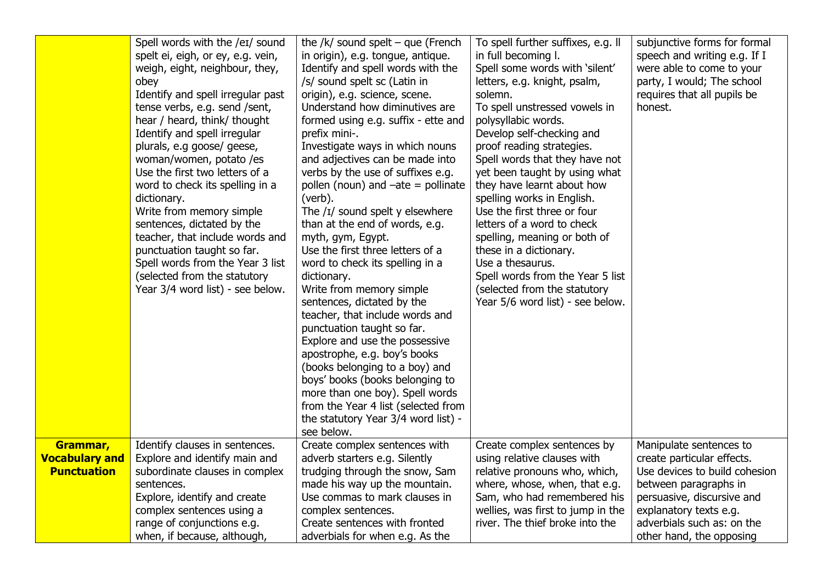|                    | Spell words with the /eɪ/ sound   | the /k/ sound spelt – que (French                  | To spell further suffixes, e.g. II | subjunctive forms for formal  |
|--------------------|-----------------------------------|----------------------------------------------------|------------------------------------|-------------------------------|
|                    | spelt ei, eigh, or ey, e.g. vein, | in origin), e.g. tongue, antique.                  | in full becoming I.                | speech and writing e.g. If I  |
|                    | weigh, eight, neighbour, they,    | Identify and spell words with the                  | Spell some words with 'silent'     | were able to come to your     |
|                    | obey                              | /s/ sound spelt sc (Latin in                       | letters, e.g. knight, psalm,       | party, I would; The school    |
|                    | Identify and spell irregular past | origin), e.g. science, scene.                      | solemn.                            | requires that all pupils be   |
|                    | tense verbs, e.g. send /sent,     | Understand how diminutives are                     | To spell unstressed vowels in      | honest.                       |
|                    | hear / heard, think/ thought      | formed using e.g. suffix - ette and                | polysyllabic words.                |                               |
|                    | Identify and spell irregular      | prefix mini-.                                      | Develop self-checking and          |                               |
|                    | plurals, e.g goose/ geese,        | Investigate ways in which nouns                    | proof reading strategies.          |                               |
|                    | woman/women, potato /es           | and adjectives can be made into                    | Spell words that they have not     |                               |
|                    | Use the first two letters of a    | verbs by the use of suffixes e.g.                  | yet been taught by using what      |                               |
|                    | word to check its spelling in a   | pollen (noun) and $-\text{ate} = \text{pollinate}$ | they have learnt about how         |                               |
|                    | dictionary.                       | (verb).                                            | spelling works in English.         |                               |
|                    | Write from memory simple          | The /I/ sound spelt y elsewhere                    | Use the first three or four        |                               |
|                    | sentences, dictated by the        | than at the end of words, e.g.                     | letters of a word to check         |                               |
|                    | teacher, that include words and   | myth, gym, Egypt.                                  | spelling, meaning or both of       |                               |
|                    | punctuation taught so far.        | Use the first three letters of a                   | these in a dictionary.             |                               |
|                    | Spell words from the Year 3 list  | word to check its spelling in a                    | Use a thesaurus.                   |                               |
|                    | (selected from the statutory      | dictionary.                                        | Spell words from the Year 5 list   |                               |
|                    | Year 3/4 word list) - see below.  | Write from memory simple                           | (selected from the statutory       |                               |
|                    |                                   | sentences, dictated by the                         | Year 5/6 word list) - see below.   |                               |
|                    |                                   | teacher, that include words and                    |                                    |                               |
|                    |                                   | punctuation taught so far.                         |                                    |                               |
|                    |                                   | Explore and use the possessive                     |                                    |                               |
|                    |                                   | apostrophe, e.g. boy's books                       |                                    |                               |
|                    |                                   | (books belonging to a boy) and                     |                                    |                               |
|                    |                                   | boys' books (books belonging to                    |                                    |                               |
|                    |                                   | more than one boy). Spell words                    |                                    |                               |
|                    |                                   | from the Year 4 list (selected from                |                                    |                               |
|                    |                                   | the statutory Year 3/4 word list) -                |                                    |                               |
|                    |                                   | see below.                                         |                                    |                               |
| Grammar,           | Identify clauses in sentences.    | Create complex sentences with                      | Create complex sentences by        | Manipulate sentences to       |
| Vocabulary and     | Explore and identify main and     | adverb starters e.g. Silently                      | using relative clauses with        | create particular effects.    |
| <b>Punctuation</b> | subordinate clauses in complex    | trudging through the snow, Sam                     | relative pronouns who, which,      | Use devices to build cohesion |
|                    | sentences.                        | made his way up the mountain.                      | where, whose, when, that e.g.      | between paragraphs in         |
|                    | Explore, identify and create      | Use commas to mark clauses in                      | Sam, who had remembered his        | persuasive, discursive and    |
|                    | complex sentences using a         | complex sentences.                                 | wellies, was first to jump in the  | explanatory texts e.g.        |
|                    | range of conjunctions e.g.        | Create sentences with fronted                      | river. The thief broke into the    | adverbials such as: on the    |
|                    | when, if because, although,       | adverbials for when e.g. As the                    |                                    | other hand, the opposing      |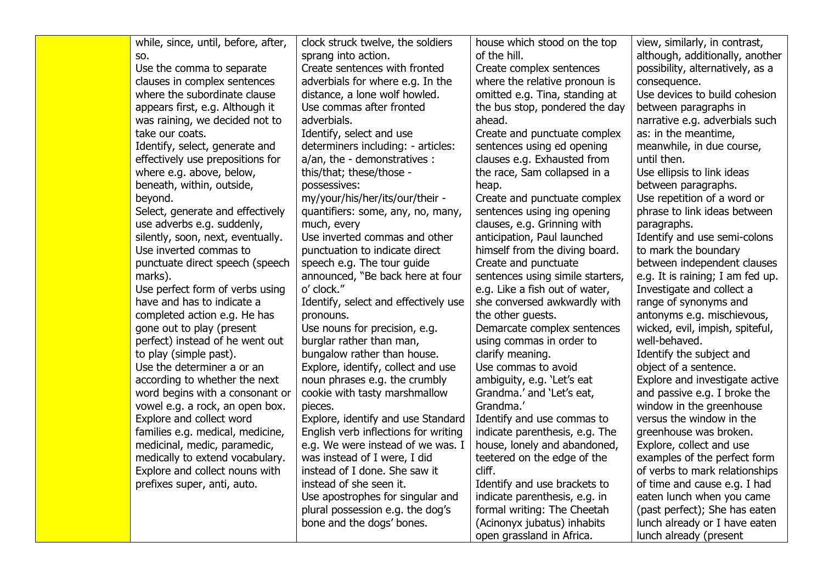| while, since, until, before, after, | clock struck twelve, the soldiers    | house which stood on the top     | view, similarly, in contrast,    |
|-------------------------------------|--------------------------------------|----------------------------------|----------------------------------|
| SO.                                 | sprang into action.                  | of the hill.                     | although, additionally, another  |
| Use the comma to separate           | Create sentences with fronted        | Create complex sentences         | possibility, alternatively, as a |
| clauses in complex sentences        | adverbials for where e.g. In the     | where the relative pronoun is    | consequence.                     |
| where the subordinate clause        | distance, a lone wolf howled.        | omitted e.g. Tina, standing at   | Use devices to build cohesion    |
| appears first, e.g. Although it     | Use commas after fronted             | the bus stop, pondered the day   | between paragraphs in            |
| was raining, we decided not to      | adverbials.                          | ahead.                           | narrative e.g. adverbials such   |
| take our coats.                     | Identify, select and use             | Create and punctuate complex     | as: in the meantime,             |
| Identify, select, generate and      | determiners including: - articles:   | sentences using ed opening       | meanwhile, in due course,        |
| effectively use prepositions for    | a/an, the - demonstratives :         | clauses e.g. Exhausted from      | until then.                      |
| where e.g. above, below,            | this/that; these/those -             | the race, Sam collapsed in a     | Use ellipsis to link ideas       |
| beneath, within, outside,           | possessives:                         | heap.                            | between paragraphs.              |
| beyond.                             | my/your/his/her/its/our/their -      | Create and punctuate complex     | Use repetition of a word or      |
| Select, generate and effectively    | quantifiers: some, any, no, many,    | sentences using ing opening      | phrase to link ideas between     |
| use adverbs e.g. suddenly,          | much, every                          | clauses, e.g. Grinning with      | paragraphs.                      |
| silently, soon, next, eventually.   | Use inverted commas and other        | anticipation, Paul launched      | Identify and use semi-colons     |
| Use inverted commas to              | punctuation to indicate direct       | himself from the diving board.   | to mark the boundary             |
| punctuate direct speech (speech     | speech e.g. The tour guide           | Create and punctuate             | between independent clauses      |
| marks).                             | announced, "Be back here at four     | sentences using simile starters, | e.g. It is raining; I am fed up. |
| Use perfect form of verbs using     | o' clock."                           | e.g. Like a fish out of water,   | Investigate and collect a        |
| have and has to indicate a          | Identify, select and effectively use | she conversed awkwardly with     | range of synonyms and            |
| completed action e.g. He has        | pronouns.                            | the other guests.                | antonyms e.g. mischievous,       |
| gone out to play (present           | Use nouns for precision, e.g.        | Demarcate complex sentences      | wicked, evil, impish, spiteful,  |
| perfect) instead of he went out     | burglar rather than man,             | using commas in order to         | well-behaved.                    |
| to play (simple past).              | bungalow rather than house.          | clarify meaning.                 | Identify the subject and         |
| Use the determiner a or an          | Explore, identify, collect and use   | Use commas to avoid              | object of a sentence.            |
| according to whether the next       | noun phrases e.g. the crumbly        | ambiguity, e.g. 'Let's eat       | Explore and investigate active   |
| word begins with a consonant or     | cookie with tasty marshmallow        | Grandma.' and 'Let's eat,        | and passive e.g. I broke the     |
| vowel e.g. a rock, an open box.     | pieces.                              | Grandma.'                        | window in the greenhouse         |
| Explore and collect word            | Explore, identify and use Standard   | Identify and use commas to       | versus the window in the         |
| families e.g. medical, medicine,    | English verb inflections for writing | indicate parenthesis, e.g. The   | greenhouse was broken.           |
| medicinal, medic, paramedic,        | e.g. We were instead of we was. I    | house, lonely and abandoned,     | Explore, collect and use         |
| medically to extend vocabulary.     | was instead of I were, I did         | teetered on the edge of the      | examples of the perfect form     |
| Explore and collect nouns with      | instead of I done. She saw it        | cliff.                           | of verbs to mark relationships   |
| prefixes super, anti, auto.         | instead of she seen it.              | Identify and use brackets to     | of time and cause e.g. I had     |
|                                     | Use apostrophes for singular and     | indicate parenthesis, e.g. in    | eaten lunch when you came        |
|                                     | plural possession e.g. the dog's     | formal writing: The Cheetah      | (past perfect); She has eaten    |
|                                     | bone and the dogs' bones.            | (Acinonyx jubatus) inhabits      | lunch already or I have eaten    |
|                                     |                                      | open grassland in Africa.        | lunch already (present           |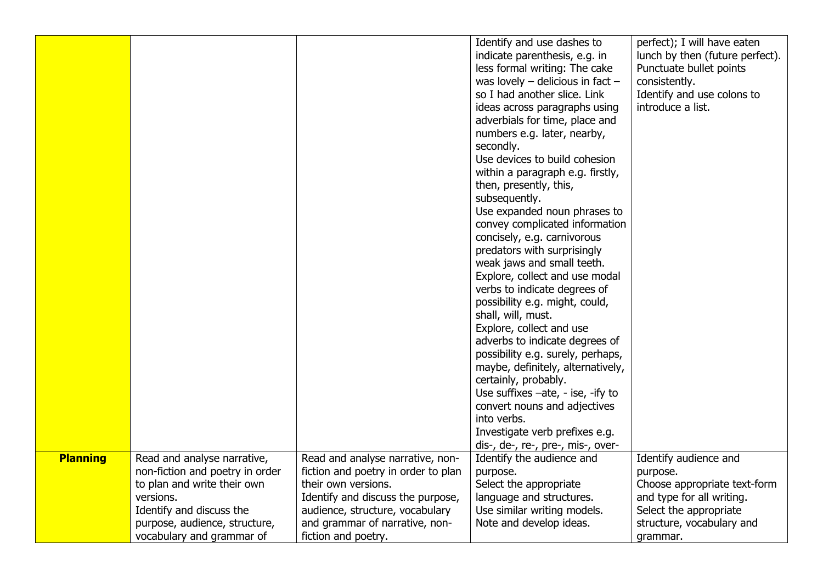|                 |                                                                |                                                                         | Identify and use dashes to<br>indicate parenthesis, e.g. in<br>less formal writing: The cake<br>was lovely $-$ delicious in fact $-$<br>so I had another slice. Link<br>ideas across paragraphs using<br>adverbials for time, place and<br>numbers e.g. later, nearby,<br>secondly.<br>Use devices to build cohesion<br>within a paragraph e.g. firstly,<br>then, presently, this,<br>subsequently.<br>Use expanded noun phrases to<br>convey complicated information<br>concisely, e.g. carnivorous<br>predators with surprisingly<br>weak jaws and small teeth.<br>Explore, collect and use modal<br>verbs to indicate degrees of<br>possibility e.g. might, could,<br>shall, will, must.<br>Explore, collect and use | perfect); I will have eaten<br>lunch by then (future perfect).<br>Punctuate bullet points<br>consistently.<br>Identify and use colons to<br>introduce a list. |
|-----------------|----------------------------------------------------------------|-------------------------------------------------------------------------|-------------------------------------------------------------------------------------------------------------------------------------------------------------------------------------------------------------------------------------------------------------------------------------------------------------------------------------------------------------------------------------------------------------------------------------------------------------------------------------------------------------------------------------------------------------------------------------------------------------------------------------------------------------------------------------------------------------------------|---------------------------------------------------------------------------------------------------------------------------------------------------------------|
|                 |                                                                |                                                                         | adverbs to indicate degrees of<br>possibility e.g. surely, perhaps,<br>maybe, definitely, alternatively,<br>certainly, probably.                                                                                                                                                                                                                                                                                                                                                                                                                                                                                                                                                                                        |                                                                                                                                                               |
|                 |                                                                |                                                                         | Use suffixes -ate, - ise, -ify to<br>convert nouns and adjectives<br>into verbs.<br>Investigate verb prefixes e.g.                                                                                                                                                                                                                                                                                                                                                                                                                                                                                                                                                                                                      |                                                                                                                                                               |
|                 |                                                                |                                                                         | dis-, de-, re-, pre-, mis-, over-                                                                                                                                                                                                                                                                                                                                                                                                                                                                                                                                                                                                                                                                                       |                                                                                                                                                               |
| <b>Planning</b> | Read and analyse narrative,<br>non-fiction and poetry in order | Read and analyse narrative, non-<br>fiction and poetry in order to plan | Identify the audience and<br>purpose.                                                                                                                                                                                                                                                                                                                                                                                                                                                                                                                                                                                                                                                                                   | Identify audience and<br>purpose.                                                                                                                             |
|                 | to plan and write their own                                    | their own versions.                                                     | Select the appropriate                                                                                                                                                                                                                                                                                                                                                                                                                                                                                                                                                                                                                                                                                                  | Choose appropriate text-form                                                                                                                                  |
|                 | versions.                                                      | Identify and discuss the purpose,                                       | language and structures.                                                                                                                                                                                                                                                                                                                                                                                                                                                                                                                                                                                                                                                                                                | and type for all writing.                                                                                                                                     |
|                 | Identify and discuss the                                       | audience, structure, vocabulary                                         | Use similar writing models.                                                                                                                                                                                                                                                                                                                                                                                                                                                                                                                                                                                                                                                                                             | Select the appropriate                                                                                                                                        |
|                 | purpose, audience, structure,<br>vocabulary and grammar of     | and grammar of narrative, non-<br>fiction and poetry.                   | Note and develop ideas.                                                                                                                                                                                                                                                                                                                                                                                                                                                                                                                                                                                                                                                                                                 | structure, vocabulary and<br>grammar.                                                                                                                         |
|                 |                                                                |                                                                         |                                                                                                                                                                                                                                                                                                                                                                                                                                                                                                                                                                                                                                                                                                                         |                                                                                                                                                               |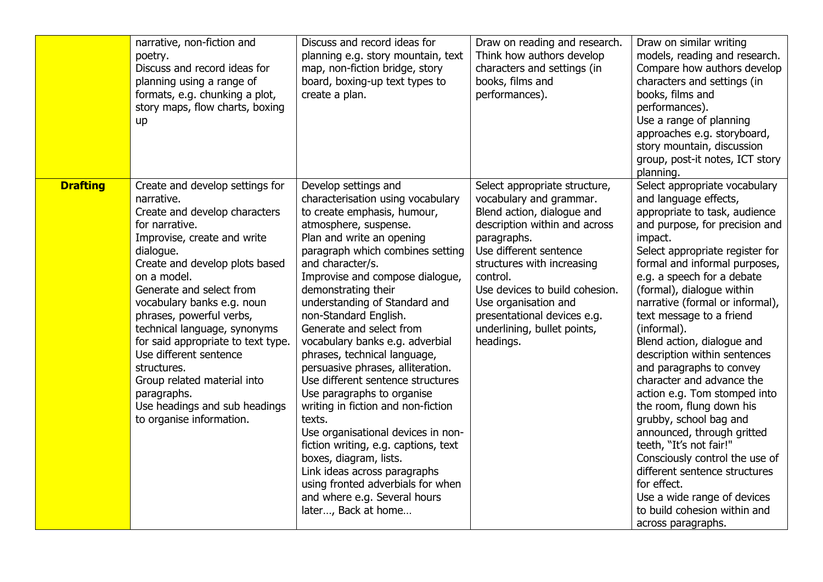|                 | narrative, non-fiction and<br>poetry.<br>Discuss and record ideas for<br>planning using a range of<br>formats, e.g. chunking a plot,<br>story maps, flow charts, boxing<br>up                                                                                                                                                                                                                                                                                                                                 | Discuss and record ideas for<br>planning e.g. story mountain, text<br>map, non-fiction bridge, story<br>board, boxing-up text types to<br>create a plan.                                                                                                                                                                                                                                                                                                                                                                                                                                                                                                                                                                                                                                                              | Draw on reading and research.<br>Think how authors develop<br>characters and settings (in<br>books, films and<br>performances).                                                                                                                                                                                                                 | Draw on similar writing<br>models, reading and research.<br>Compare how authors develop<br>characters and settings (in<br>books, films and<br>performances).<br>Use a range of planning<br>approaches e.g. storyboard,<br>story mountain, discussion<br>group, post-it notes, ICT story<br>planning.                                                                                                                                                                                                                                                                                                                                                                                                                                                                                           |
|-----------------|---------------------------------------------------------------------------------------------------------------------------------------------------------------------------------------------------------------------------------------------------------------------------------------------------------------------------------------------------------------------------------------------------------------------------------------------------------------------------------------------------------------|-----------------------------------------------------------------------------------------------------------------------------------------------------------------------------------------------------------------------------------------------------------------------------------------------------------------------------------------------------------------------------------------------------------------------------------------------------------------------------------------------------------------------------------------------------------------------------------------------------------------------------------------------------------------------------------------------------------------------------------------------------------------------------------------------------------------------|-------------------------------------------------------------------------------------------------------------------------------------------------------------------------------------------------------------------------------------------------------------------------------------------------------------------------------------------------|------------------------------------------------------------------------------------------------------------------------------------------------------------------------------------------------------------------------------------------------------------------------------------------------------------------------------------------------------------------------------------------------------------------------------------------------------------------------------------------------------------------------------------------------------------------------------------------------------------------------------------------------------------------------------------------------------------------------------------------------------------------------------------------------|
| <b>Drafting</b> | Create and develop settings for<br>narrative.<br>Create and develop characters<br>for narrative.<br>Improvise, create and write<br>dialogue.<br>Create and develop plots based<br>on a model.<br>Generate and select from<br>vocabulary banks e.g. noun<br>phrases, powerful verbs,<br>technical language, synonyms<br>for said appropriate to text type.<br>Use different sentence<br>structures.<br>Group related material into<br>paragraphs.<br>Use headings and sub headings<br>to organise information. | Develop settings and<br>characterisation using vocabulary<br>to create emphasis, humour,<br>atmosphere, suspense.<br>Plan and write an opening<br>paragraph which combines setting<br>and character/s.<br>Improvise and compose dialogue,<br>demonstrating their<br>understanding of Standard and<br>non-Standard English.<br>Generate and select from<br>vocabulary banks e.g. adverbial<br>phrases, technical language,<br>persuasive phrases, alliteration.<br>Use different sentence structures<br>Use paragraphs to organise<br>writing in fiction and non-fiction<br>texts.<br>Use organisational devices in non-<br>fiction writing, e.g. captions, text<br>boxes, diagram, lists.<br>Link ideas across paragraphs<br>using fronted adverbials for when<br>and where e.g. Several hours<br>later, Back at home | Select appropriate structure,<br>vocabulary and grammar.<br>Blend action, dialogue and<br>description within and across<br>paragraphs.<br>Use different sentence<br>structures with increasing<br>control.<br>Use devices to build cohesion.<br>Use organisation and<br>presentational devices e.g.<br>underlining, bullet points,<br>headings. | Select appropriate vocabulary<br>and language effects,<br>appropriate to task, audience<br>and purpose, for precision and<br>impact.<br>Select appropriate register for<br>formal and informal purposes,<br>e.g. a speech for a debate<br>(formal), dialogue within<br>narrative (formal or informal),<br>text message to a friend<br>(informal).<br>Blend action, dialogue and<br>description within sentences<br>and paragraphs to convey<br>character and advance the<br>action e.g. Tom stomped into<br>the room, flung down his<br>grubby, school bag and<br>announced, through gritted<br>teeth, "It's not fair!"<br>Consciously control the use of<br>different sentence structures<br>for effect.<br>Use a wide range of devices<br>to build cohesion within and<br>across paragraphs. |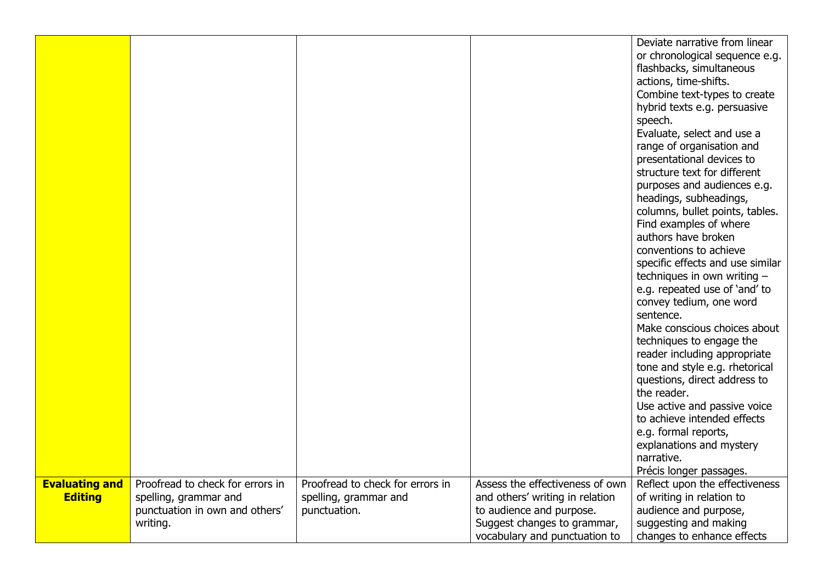|                       |                                  |                                  |                                 | Deviate narrative from linear          |
|-----------------------|----------------------------------|----------------------------------|---------------------------------|----------------------------------------|
|                       |                                  |                                  |                                 | or chronological sequence e.g.         |
|                       |                                  |                                  |                                 | flashbacks, simultaneous               |
|                       |                                  |                                  |                                 | actions, time-shifts.                  |
|                       |                                  |                                  |                                 | Combine text-types to create           |
|                       |                                  |                                  |                                 | hybrid texts e.g. persuasive           |
|                       |                                  |                                  |                                 | speech.                                |
|                       |                                  |                                  |                                 | Evaluate, select and use a             |
|                       |                                  |                                  |                                 | range of organisation and              |
|                       |                                  |                                  |                                 | presentational devices to              |
|                       |                                  |                                  |                                 | structure text for different           |
|                       |                                  |                                  |                                 | purposes and audiences e.g.            |
|                       |                                  |                                  |                                 | headings, subheadings,                 |
|                       |                                  |                                  |                                 | columns, bullet points, tables.        |
|                       |                                  |                                  |                                 | Find examples of where                 |
|                       |                                  |                                  |                                 | authors have broken                    |
|                       |                                  |                                  |                                 | conventions to achieve                 |
|                       |                                  |                                  |                                 | specific effects and use similar       |
|                       |                                  |                                  |                                 | techniques in own writing -            |
|                       |                                  |                                  |                                 | e.g. repeated use of 'and' to          |
|                       |                                  |                                  |                                 | convey tedium, one word                |
|                       |                                  |                                  |                                 | sentence.                              |
|                       |                                  |                                  |                                 | Make conscious choices about           |
|                       |                                  |                                  |                                 | techniques to engage the               |
|                       |                                  |                                  |                                 | reader including appropriate           |
|                       |                                  |                                  |                                 | tone and style e.g. rhetorical         |
|                       |                                  |                                  |                                 | questions, direct address to           |
|                       |                                  |                                  |                                 | the reader.                            |
|                       |                                  |                                  |                                 | Use active and passive voice           |
|                       |                                  |                                  |                                 | to achieve intended effects            |
|                       |                                  |                                  |                                 | e.g. formal reports,                   |
|                       |                                  |                                  |                                 | explanations and mystery<br>narrative. |
|                       |                                  |                                  |                                 | Précis longer passages.                |
| <b>Evaluating and</b> | Proofread to check for errors in | Proofread to check for errors in | Assess the effectiveness of own | Reflect upon the effectiveness         |
| <b>Editing</b>        | spelling, grammar and            | spelling, grammar and            | and others' writing in relation | of writing in relation to              |
|                       | punctuation in own and others'   | punctuation.                     | to audience and purpose.        | audience and purpose,                  |
|                       | writing.                         |                                  | Suggest changes to grammar,     | suggesting and making                  |
|                       |                                  |                                  | vocabulary and punctuation to   | changes to enhance effects             |